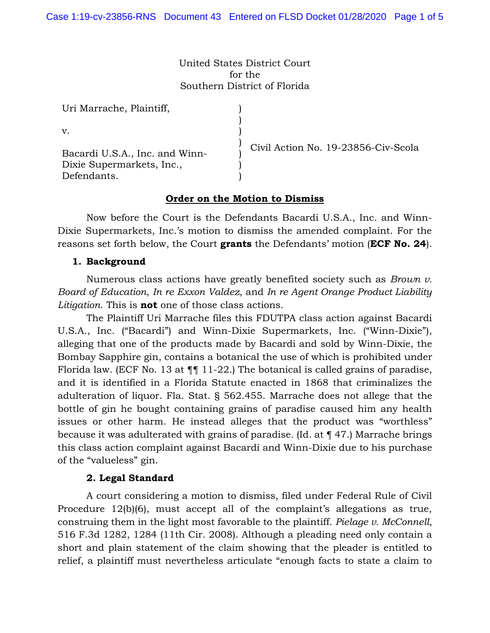United States District Court for the Southern District of Florida

> ) ) ) ) ) ) )

Uri Marrache, Plaintiff,

v.

Bacardi U.S.A., Inc. and Winn-Dixie Supermarkets, Inc., Defendants.

Civil Action No. 19-23856-Civ-Scola

### **Order on the Motion to Dismiss**

Now before the Court is the Defendants Bacardi U.S.A., Inc. and Winn-Dixie Supermarkets, Inc.'s motion to dismiss the amended complaint. For the reasons set forth below, the Court **grants** the Defendants' motion (**ECF No. 24**).

#### **1. Background**

Numerous class actions have greatly benefited society such as *Brown v. Board of Education*, *In re Exxon Valdez*, and *In re Agent Orange Product Liability Litigation*. This is **not** one of those class actions.

The Plaintiff Uri Marrache files this FDUTPA class action against Bacardi U.S.A., Inc. ("Bacardi") and Winn-Dixie Supermarkets, Inc. ("Winn-Dixie"), alleging that one of the products made by Bacardi and sold by Winn-Dixie, the Bombay Sapphire gin, contains a botanical the use of which is prohibited under Florida law. (ECF No. 13 at  $\P\P$  11-22.) The botanical is called grains of paradise, and it is identified in a Florida Statute enacted in 1868 that criminalizes the adulteration of liquor. Fla. Stat. § 562.455. Marrache does not allege that the bottle of gin he bought containing grains of paradise caused him any health issues or other harm. He instead alleges that the product was "worthless" because it was adulterated with grains of paradise. (Id. at ¶ 47.) Marrache brings this class action complaint against Bacardi and Winn-Dixie due to his purchase of the "valueless" gin.

### **2. Legal Standard**

A court considering a motion to dismiss, filed under Federal Rule of Civil Procedure 12(b)(6), must accept all of the complaint's allegations as true, construing them in the light most favorable to the plaintiff. *Pielage v. McConnell*, 516 F.3d 1282, 1284 (11th Cir. 2008). Although a pleading need only contain a short and plain statement of the claim showing that the pleader is entitled to relief, a plaintiff must nevertheless articulate "enough facts to state a claim to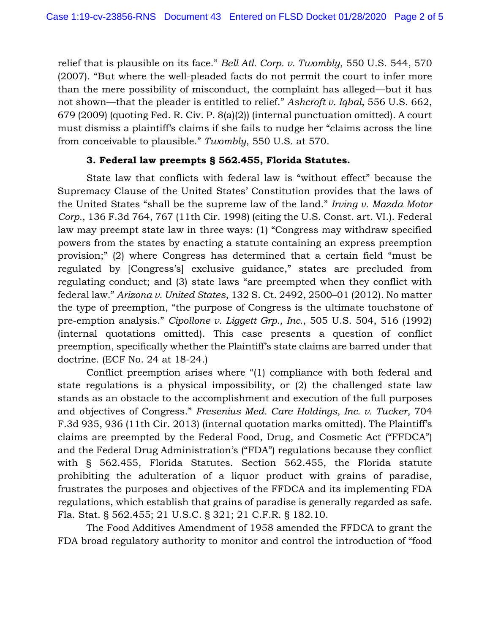relief that is plausible on its face." *Bell Atl. Corp. v. Twombly*, 550 U.S. 544, 570 (2007). "But where the well-pleaded facts do not permit the court to infer more than the mere possibility of misconduct, the complaint has alleged—but it has not shown—that the pleader is entitled to relief." *Ashcroft v. Iqbal*, 556 U.S. 662, 679 (2009) (quoting Fed. R. Civ. P. 8(a)(2)) (internal punctuation omitted). A court must dismiss a plaintiff's claims if she fails to nudge her "claims across the line from conceivable to plausible." *Twombly*, 550 U.S. at 570.

## **3. Federal law preempts § 562.455, Florida Statutes.**

State law that conflicts with federal law is "without effect" because the Supremacy Clause of the United States' Constitution provides that the laws of the United States "shall be the supreme law of the land." *Irving v. Mazda Motor Corp.*, 136 F.3d 764, 767 (11th Cir. 1998) (citing the U.S. Const. art. VI.). Federal law may preempt state law in three ways: (1) "Congress may withdraw specified powers from the states by enacting a statute containing an express preemption provision;" (2) where Congress has determined that a certain field "must be regulated by [Congress's] exclusive guidance," states are precluded from regulating conduct; and (3) state laws "are preempted when they conflict with federal law." *Arizona v. United States*, 132 S. Ct. 2492, 2500–01 (2012). No matter the type of preemption, "the purpose of Congress is the ultimate touchstone of pre-emption analysis." *Cipollone v. Liggett Grp., Inc.*, 505 U.S. 504, 516 (1992) (internal quotations omitted). This case presents a question of conflict preemption, specifically whether the Plaintiff's state claims are barred under that doctrine. (ECF No. 24 at 18-24.)

Conflict preemption arises where "(1) compliance with both federal and state regulations is a physical impossibility, or (2) the challenged state law stands as an obstacle to the accomplishment and execution of the full purposes and objectives of Congress." *Fresenius Med. Care Holdings, Inc. v. Tucker*, 704 F.3d 935, 936 (11th Cir. 2013) (internal quotation marks omitted). The Plaintiff's claims are preempted by the Federal Food, Drug, and Cosmetic Act ("FFDCA") and the Federal Drug Administration's ("FDA") regulations because they conflict with § 562.455, Florida Statutes. Section 562.455, the Florida statute prohibiting the adulteration of a liquor product with grains of paradise, frustrates the purposes and objectives of the FFDCA and its implementing FDA regulations, which establish that grains of paradise is generally regarded as safe. Fla. Stat. § 562.455; 21 U.S.C. § 321; 21 C.F.R. § 182.10.

The Food Additives Amendment of 1958 amended the FFDCA to grant the FDA broad regulatory authority to monitor and control the introduction of "food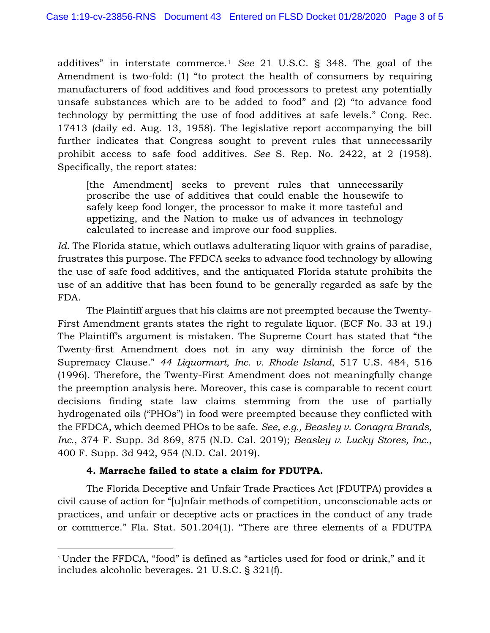additives" in interstate commerce.<sup>1</sup> *See* 21 U.S.C. § 348. The goal of the Amendment is two-fold: (1) "to protect the health of consumers by requiring manufacturers of food additives and food processors to pretest any potentially unsafe substances which are to be added to food" and (2) "to advance food technology by permitting the use of food additives at safe levels." Cong. Rec. 17413 (daily ed. Aug. 13, 1958). The legislative report accompanying the bill further indicates that Congress sought to prevent rules that unnecessarily prohibit access to safe food additives. *See* S. Rep. No. 2422, at 2 (1958). Specifically, the report states:

[the Amendment] seeks to prevent rules that unnecessarily proscribe the use of additives that could enable the housewife to safely keep food longer, the processor to make it more tasteful and appetizing, and the Nation to make us of advances in technology calculated to increase and improve our food supplies.

*Id*. The Florida statue, which outlaws adulterating liquor with grains of paradise, frustrates this purpose. The FFDCA seeks to advance food technology by allowing the use of safe food additives, and the antiquated Florida statute prohibits the use of an additive that has been found to be generally regarded as safe by the FDA.

The Plaintiff argues that his claims are not preempted because the Twenty-First Amendment grants states the right to regulate liquor. (ECF No. 33 at 19.) The Plaintiff's argument is mistaken. The Supreme Court has stated that "the Twenty-first Amendment does not in any way diminish the force of the Supremacy Clause." *44 Liquormart, Inc. v. Rhode Island*, 517 U.S. 484, 516 (1996). Therefore, the Twenty-First Amendment does not meaningfully change the preemption analysis here. Moreover, this case is comparable to recent court decisions finding state law claims stemming from the use of partially hydrogenated oils ("PHOs") in food were preempted because they conflicted with the FFDCA, which deemed PHOs to be safe. *See, e.g., Beasley v. Conagra Brands, Inc.*, 374 F. Supp. 3d 869, 875 (N.D. Cal. 2019); *Beasley v. Lucky Stores, Inc.*, 400 F. Supp. 3d 942, 954 (N.D. Cal. 2019).

# **4. Marrache failed to state a claim for FDUTPA.**

l

The Florida Deceptive and Unfair Trade Practices Act (FDUTPA) provides a civil cause of action for "[u]nfair methods of competition, unconscionable acts or practices, and unfair or deceptive acts or practices in the conduct of any trade or commerce." Fla. Stat. 501.204(1). "There are three elements of a FDUTPA

<sup>&</sup>lt;sup>1</sup> Under the FFDCA, "food" is defined as "articles used for food or drink," and it includes alcoholic beverages. 21 U.S.C. § 321(f).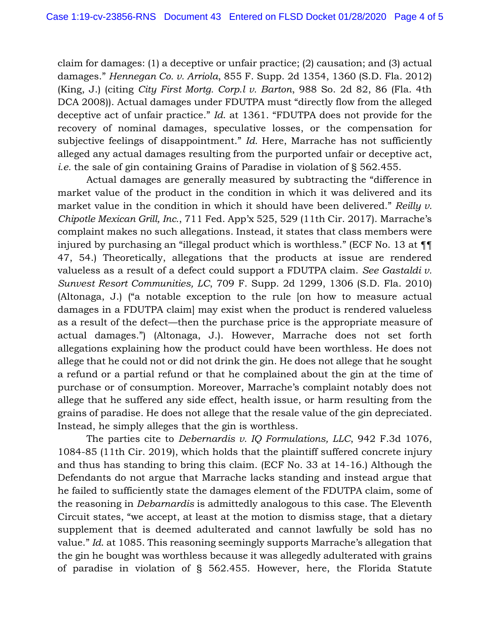claim for damages: (1) a deceptive or unfair practice; (2) causation; and (3) actual damages." *Hennegan Co. v. Arriola*, 855 F. Supp. 2d 1354, 1360 (S.D. Fla. 2012) (King, J.) (citing *City First Mortg. Corp.l v. Barton*, 988 So. 2d 82, 86 (Fla. 4th DCA 2008)). Actual damages under FDUTPA must "directly flow from the alleged deceptive act of unfair practice." *Id*. at 1361. "FDUTPA does not provide for the recovery of nominal damages, speculative losses, or the compensation for subjective feelings of disappointment." *Id.* Here, Marrache has not sufficiently alleged any actual damages resulting from the purported unfair or deceptive act, *i.e.* the sale of gin containing Grains of Paradise in violation of § 562.455.

Actual damages are generally measured by subtracting the "difference in market value of the product in the condition in which it was delivered and its market value in the condition in which it should have been delivered." *Reilly v. Chipotle Mexican Grill, Inc.*, 711 Fed. App'x 525, 529 (11th Cir. 2017). Marrache's complaint makes no such allegations. Instead, it states that class members were injured by purchasing an "illegal product which is worthless." (ECF No. 13 at ¶¶ 47, 54.) Theoretically, allegations that the products at issue are rendered valueless as a result of a defect could support a FDUTPA claim. *See Gastaldi v. Sunvest Resort Communities, LC*, 709 F. Supp. 2d 1299, 1306 (S.D. Fla. 2010) (Altonaga, J.) ("a notable exception to the rule [on how to measure actual damages in a FDUTPA claim] may exist when the product is rendered valueless as a result of the defect—then the purchase price is the appropriate measure of actual damages.") (Altonaga, J.). However, Marrache does not set forth allegations explaining how the product could have been worthless. He does not allege that he could not or did not drink the gin. He does not allege that he sought a refund or a partial refund or that he complained about the gin at the time of purchase or of consumption. Moreover, Marrache's complaint notably does not allege that he suffered any side effect, health issue, or harm resulting from the grains of paradise. He does not allege that the resale value of the gin depreciated. Instead, he simply alleges that the gin is worthless.

The parties cite to *Debernardis v. IQ Formulations, LLC*, 942 F.3d 1076, 1084-85 (11th Cir. 2019), which holds that the plaintiff suffered concrete injury and thus has standing to bring this claim. (ECF No. 33 at 14-16.) Although the Defendants do not argue that Marrache lacks standing and instead argue that he failed to sufficiently state the damages element of the FDUTPA claim, some of the reasoning in *Debarnardis* is admittedly analogous to this case. The Eleventh Circuit states, "we accept, at least at the motion to dismiss stage, that a dietary supplement that is deemed adulterated and cannot lawfully be sold has no value." *Id*. at 1085. This reasoning seemingly supports Marrache's allegation that the gin he bought was worthless because it was allegedly adulterated with grains of paradise in violation of § 562.455. However, here, the Florida Statute